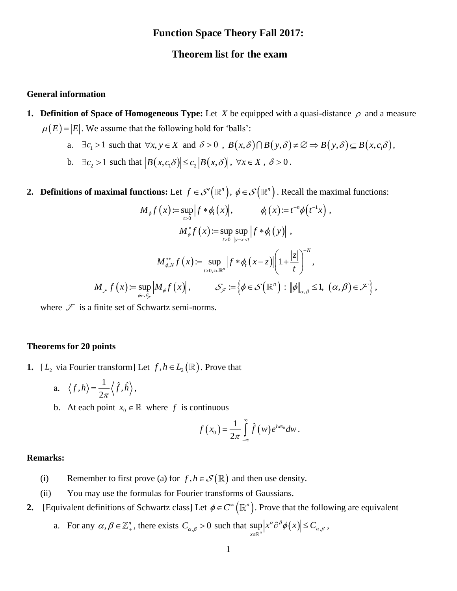# **Function Space Theory Fall 2017:**

## **Theorem list for the exam**

## **General information**

- **1. Definition of Space of Homogeneous Type:** Let X be equipped with a quasi-distance  $\rho$  and a measure  $\mu(E) = |E|$ . We assume that the following hold for 'balls':
	- a.  $\exists c_1 > 1$  such that  $\forall x, y \in X$  and  $\delta > 0$ ,  $B(x, \delta) \cap B(y, \delta) \neq \emptyset \Rightarrow B(y, \delta) \subseteq B(x, c_1 \delta)$ ,
	- b.  $\exists c_2 > 1$  such that  $\left| B(x, c_1\delta) \right| \le c_2 \left| B(x, \delta) \right|, \forall x \in X, \delta > 0$ .
- **2. Definitions of maximal functions:** Let  $f \in \mathcal{S}'(\mathbb{R}^n)$ ,  $\phi \in \mathcal{S}(\mathbb{R}^n)$ . Recall the maximal functions:

$$
M_{\phi}f(x) := \sup_{t>0} |f * \phi_t(x)|, \qquad \phi_t(x) := t^{-n} \phi(t^{-1}x),
$$
  

$$
M_{\phi}^* f(x) := \sup_{t>0} \sup_{|y-x| \le t} |f * \phi_t(y)|,
$$
  

$$
M_{\phi,N}^{**} f(x) := \sup_{t>0, z \in \mathbb{R}^n} |f * \phi_t(x-z)| \left(1 + \frac{|z|}{t}\right)^{-N},
$$
  

$$
M_{\phi}f(x) := \sup_{\phi \in \mathcal{S}_{\phi}} |M_{\phi}f(x)|, \qquad \mathcal{S}_{\phi} := \left\{\phi \in \mathcal{S}\left(\mathbb{R}^n\right) : \|\phi\|_{\alpha,\beta} \le 1, \ (\alpha,\beta) \in \mathcal{F}\right\},
$$

where  $\mathcal F$  is a finite set of Schwartz semi-norms.

#### **Theorems for 20 points**

- **1.**  $[L_2$  via Fourier transform] Let  $f, h \in L_2(\mathbb{R})$ . Prove that
	- a.  $\langle f, h \rangle = \frac{1}{2\pi} \langle \hat{f}, \hat{h} \rangle$  $=\frac{1}{2}\langle f,h\rangle,$
	- b. At each point  $x_0 \in \mathbb{R}$  where f is continuous

$$
f(x_0) = \frac{1}{2\pi} \int_{-\infty}^{\infty} \hat{f}(w) e^{iwx_0} dw.
$$

#### **Remarks:**

- (i) Remember to first prove (a) for  $f, h \in \mathcal{S}(\mathbb{R})$  and then use density.
- (ii) You may use the formulas for Fourier transforms of Gaussians.
- **2.** [Equivalent definitions of Schwartz class] Let  $\phi \in C^{\infty}(\mathbb{R}^n)$ . Prove that the following are equivalent
	- a. For any  $\alpha, \beta \in \mathbb{Z}_+^n$ , there exists  $C_{\alpha,\beta} > 0$  such that  $\sup_{x \in \mathbb{R}^n} |x^{\alpha} \partial^{\beta} \phi(x)| \leq C_{\alpha,\beta}$  $\sup_{x \in \mathbb{R}^n} \left| x^{\alpha} \partial^{\beta} \phi(x) \right| \leq C_{\alpha,\beta}$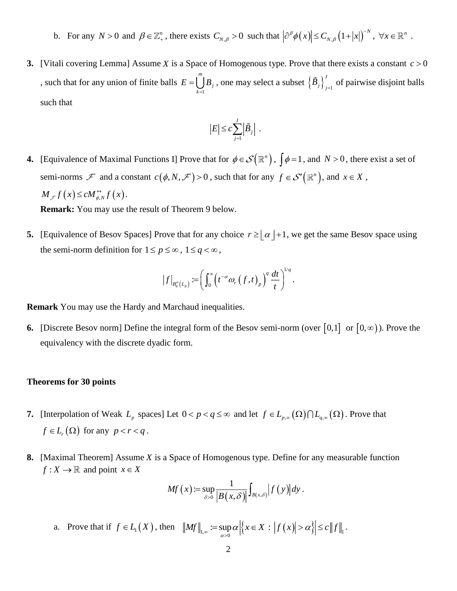- b. For any  $N > 0$  and  $\beta \in \mathbb{Z}_+^n$ , there exists  $C_{N,\beta} > 0$  such that  $|\partial^\beta \phi(x)| \le C_{N,\beta} (1+|x|)^{-N}$  $\partial^{\beta} \phi(x) \leq C_{N,\beta} (1+|x|)^{-N}, \ \forall x \in \mathbb{R}^{n}.$
- **3.** [Vitali covering Lemma] Assume X is a Space of Homogenous type. Prove that there exists a constant  $c > 0$ , such that for any union of finite balls 1 *m*  $\bigcup_{k=1}$  $E = \bigcup_{i=1}^{n} B_i$ , one may select a subset  $\left\{ \tilde{B}_j \right\}_{i=1}^{J}$  $\left. \tilde{B}_j \right|_{j=1}$  of pairwise disjoint balls such that

$$
|E| \leq c \sum_{j=1}^J \left| \tilde{B}_j \right| \; .
$$

**4.** [Equivalence of Maximal Functions I] Prove that for  $\phi \in \mathcal{S}(\mathbb{R}^n)$ ,  $\int \phi = 1$ , and  $N > 0$ , there exist a set of semi-norms  $\mathcal{F}$  and a constant  $c(\phi, N, \mathcal{F}) > 0$ , such that for any  $f \in \mathcal{S}'(\mathbb{R}^n)$ , and  $x \in X$ ,  $M_{\mathscr{F}} f(x) \leq c M_{\phi,N}^{**} f(x)$ .

**Remark:** You may use the result of Theorem 9 below.

**5.** [Equivalence of Besov Spaces] Prove that for any choice  $r \geq \lfloor \alpha \rfloor + 1$ , we get the same Besov space using the semi-norm definition for  $1 \le p \le \infty$ ,  $1 \le q < \infty$ ,

$$
\left|f\right|_{B_q^{\alpha}(L_p)} := \left(\int_0^{\infty} \left(t^{-\alpha} \omega_r\left(f,t\right)_p\right)^q \frac{dt}{t}\right)^{1/q}.
$$

**Remark** You may use the Hardy and Marchaud inequalities.

**6.** [Discrete Besov norm] Define the integral form of the Besov semi-norm (over  $[0,1]$  or  $[0,\infty)$ ). Prove the equivalency with the discrete dyadic form.

#### **Theorems for 30 points**

- **7.** [Interpolation of Weak  $L_p$  spaces] Let  $0 < p < q \le \infty$  and let  $f \in L_{p,\infty}(\Omega) \cap L_{q,\infty}(\Omega)$ . Prove that  $f \in L_r(\Omega)$  for any  $p < r < q$ .
- **8.** [Maximal Theorem] Assume *X* is a Space of Homogenous type. Define for any measurable function  $f: X \to \mathbb{R}$  and point  $x \in X$

$$
Mf(x) := \sup_{\delta>0} \frac{1}{|B(x,\delta)|} \int_{B(x,\delta)} |f(y)| dy.
$$

a. Prove that if  $f \in L_1(X)$ , then  $||Mf||_{L,\infty} := \sup_{\alpha > 0} \alpha | \{ x \in X : |f(x)| > \alpha \} | \le c ||f||_1$  $\sum_{\alpha>0} := \sup_{\alpha>0} \alpha \left| \left\{ x \in X : |f(x)| \geq \alpha \right\} \right|$  $=\sup \alpha |x \in X : |f(x)| > \alpha | \leq c \|f\|.$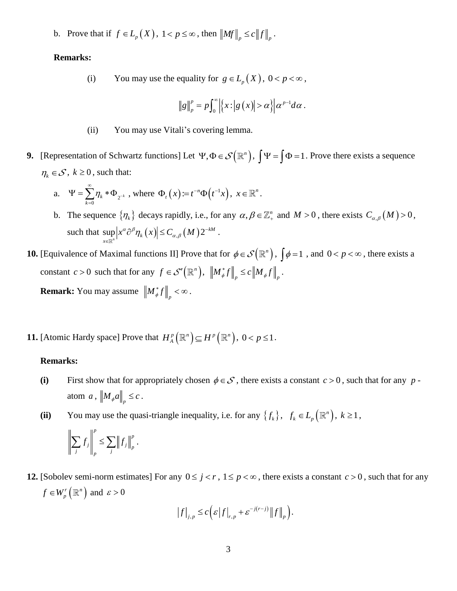b. Prove that if  $f \in L_p(X)$ ,  $1 < p \le \infty$ , then  $||Mf||_p \le c||f||_p$ .

### **Remarks:**

(i) You may use the equality for  $g \in L_p(X)$ ,  $0 < p < \infty$ ,

$$
\|g\|_p^p = p \int_0^\infty \left|\left\{x : \left|g\left(x\right)\right| > \alpha\right\}\right| \alpha^{p-1} d\alpha \,.
$$

- (ii) You may use Vitali's covering lemma.
- **9.** [Representation of Schwartz functions] Let  $\Psi, \Phi \in \mathcal{S}(\mathbb{R}^n)$ ,  $\Psi = \int \Phi = 1$ . Prove there exists a sequence  $\eta_k \in \mathcal{S}$ ,  $k \geq 0$ , such that:

a. 
$$
\Psi = \sum_{k=0}^{\infty} \eta_k * \Phi_{2^{-k}}
$$
, where  $\Phi_t(x) := t^{-n} \Phi(t^{-1}x)$ ,  $x \in \mathbb{R}^n$ .

b. The sequence  $\{\eta_k\}$  decays rapidly, i.e., for any  $\alpha, \beta \in \mathbb{Z}_+^n$  and  $M > 0$ , there exists  $C_{\alpha,\beta}(M) > 0$ , such that  $\sup_{x \in \mathbb{R}^n} |x^{\alpha} \partial^{\beta} \eta_k(x)| \leq C_{\alpha,\beta}(M) 2$ *kM*  $\sup_{x \in \mathbb{R}^n} \left| x^{\alpha} \partial^{\beta} \eta_k(x) \right| \leq C_{\alpha,\beta}(M) 2^{-\alpha}$  $\sup_{x\in\mathbb{R}^n}\left|x^{\alpha}\partial^{\beta}\eta_{k}(x)\right|\leq C_{\alpha,\beta}(M)2^{-kM}.$ 

**10.** [Equivalence of Maximal functions II] Prove that for  $\phi \in \mathcal{S}(\mathbb{R}^n)$ ,  $\int \phi = 1$ , and  $0 < p < \infty$ , there exists a constant  $c > 0$  such that for any  $f \in \mathcal{S}'(\mathbb{R}^n)$ ,  $\left\| M^*_{\phi} f \right\|_p \leq c \left\| M_{\phi} f \right\|_p$ . **Remark:** You may assume  $\left\| M_{\phi}^* f \right\|_p < \infty$ .

**11.** [Atomic Hardy space] Prove that  $H_A^p(\mathbb{R}^n) \subseteq H^p(\mathbb{R}^n)$ ,  $0 < p \le 1$ .

#### **Remarks:**

- (i) First show that for appropriately chosen  $\phi \in S$ , there exists a constant  $c > 0$ , such that for any patom a,  $\left\| M_{\phi} a \right\|_p \leq c$ .
- (ii) You may use the quasi-triangle inequality, i.e. for any  $\{f_k\}$ ,  $f_k \in L_p(\mathbb{R}^n)$ ,  $k \ge 1$ ,

$$
\left\| \sum_j f_j \right\|_p^p \leq \sum_j \left\| f_j \right\|_p^p.
$$

**12.** [Sobolev semi-norm estimates] For any  $0 \leq j < r$ ,  $1 \leq p < \infty$ , there exists a constant  $c > 0$ , such that for any  $\binom{r}{r}$   $\binom{m}{r}$  $f \in W_p^r(\mathbb{R}^n)$  and  $\varepsilon > 0$ 

$$
\left|f\right|_{j,p} \leq c \left(\varepsilon \left|f\right|_{r,p} + \varepsilon^{-j(r-j)} \left\|f\right\|_{p}\right).
$$